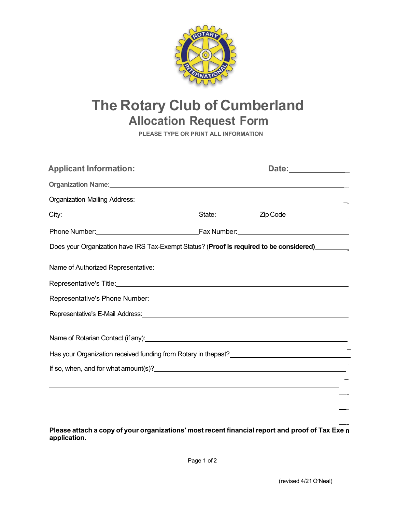

## **The Rotary Club of Cumberland Allocation Request Form**

**PLEASE TYPE OR PRINT ALL INFORMATION**

| <b>Applicant Information:</b>                                                                                                                                                                                                  | Date:______________ |
|--------------------------------------------------------------------------------------------------------------------------------------------------------------------------------------------------------------------------------|---------------------|
|                                                                                                                                                                                                                                |                     |
|                                                                                                                                                                                                                                |                     |
|                                                                                                                                                                                                                                |                     |
|                                                                                                                                                                                                                                |                     |
| Does your Organization have IRS Tax-Exempt Status? (Proof is required to be considered)<br><u>Lettic manual</u>                                                                                                                |                     |
|                                                                                                                                                                                                                                |                     |
|                                                                                                                                                                                                                                |                     |
| Representative's Phone Number: New York Changes and Changes and Changes and Changes and Changes and Changes and Changes and Changes and Changes and Changes and Changes and Changes and Changes and Changes and Changes and Ch |                     |
| Representative's E-Mail Address: New York Contract and Contract of the Contract of the Contract of the Contract of the Contract of the Contract of the Contract of the Contract of the Contract of the Contract of the Contrac |                     |
|                                                                                                                                                                                                                                |                     |
|                                                                                                                                                                                                                                |                     |
|                                                                                                                                                                                                                                |                     |
|                                                                                                                                                                                                                                |                     |
|                                                                                                                                                                                                                                |                     |
|                                                                                                                                                                                                                                |                     |

Please attach a copy of your organizations' most recent financial report and proof of Tax Exe n **application**.

Page 1 of 2